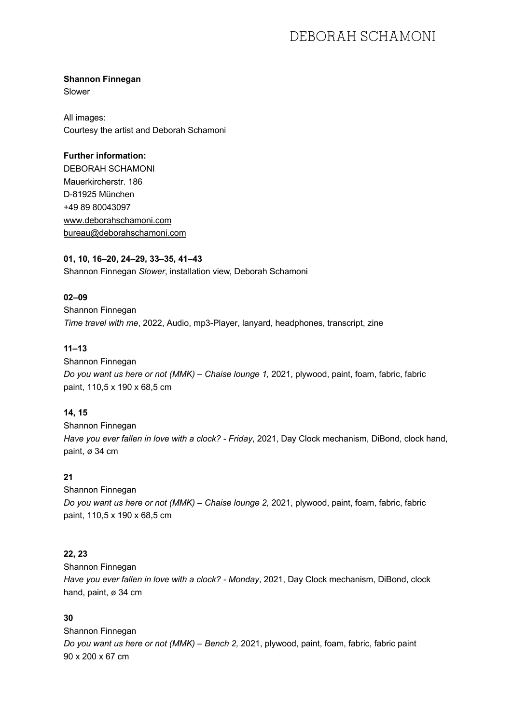# DEBORAH SCHAMONI

#### **Shannon Finnegan**

Slower

All images: Courtesy the artist and Deborah Schamoni

#### **Further information:**

DEBORAH SCHAMONI Mauerkircherstr. 186 D-81925 München +49 89 80043097 www.deborahschamoni.com bureau@deborahschamoni.com

#### **01, 10, 16–20, 24–29, 33–35, 41–43**

Shannon Finnegan *Slower*, installation view, Deborah Schamoni

## **02–09**

Shannon Finnegan *Time travel with me*, 2022, Audio, mp3-Player, lanyard, headphones, transcript, zine

### **11–13**

Shannon Finnegan *Do you want us here or not (MMK) – Chaise lounge 1,* 2021, plywood, paint, foam, fabric, fabric paint, 110,5 x 190 x 68,5 cm

### **14, 15**

Shannon Finnegan *Have you ever fallen in love with a clock? - Friday*, 2021, Day Clock mechanism, DiBond, clock hand, paint, ø 34 cm

### **21**

Shannon Finnegan *Do you want us here or not (MMK) – Chaise lounge 2,* 2021, plywood, paint, foam, fabric, fabric paint, 110,5 x 190 x 68,5 cm

## **22, 23**

Shannon Finnegan *Have you ever fallen in love with a clock? - Monday*, 2021, Day Clock mechanism, DiBond, clock hand, paint, ø 34 cm

# **30**

Shannon Finnegan *Do you want us here or not (MMK) – Bench 2,* 2021, plywood, paint, foam, fabric, fabric paint 90 x 200 x 67 cm